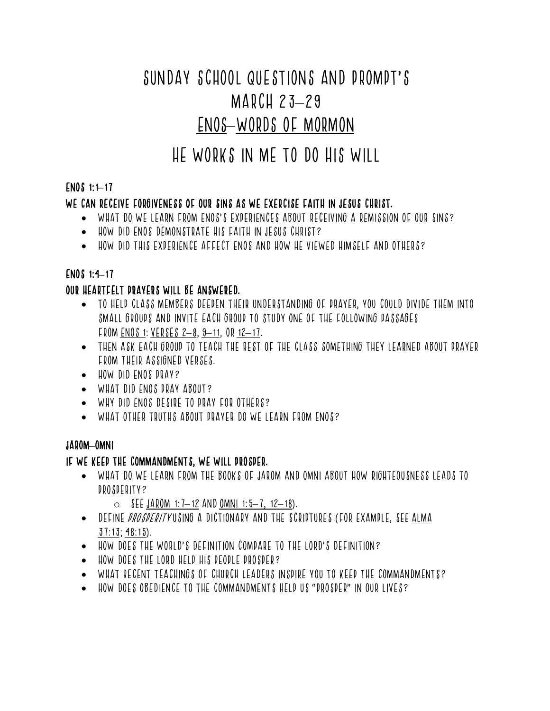# SUNDAY SCHOOL QUESTIONS AND PROMPT'S MARCH 23–29 ENOS–WORDS OF MORMON

# HE WORKS IN ME TO DO HIS WILL

# ENOS 1:1**–**17

# WE CAN RECEIVE FORGIVENESS OF OUR SINS AS WE EXERCISE FAITH IN JESUS CHRIST.

- WHAT DO WE LEARN FROM ENOS'S EXPERIENCES ABOUT RECEIVING A REMISSION OF OUR SINS?
- HOW DID ENOS DEMONSTRATE HIS FAITH IN JESUS CHRIST?
- HOW DID THIS EXPERIENCE AFFECT ENOS AND HOW HE VIEWED HIMSELF AND OTHERS?

# ENOS 1:4**–**17

# OUR HEARTFELT PRAYERS WILL BE ANSWERED.

- TO HELP CLASS MEMBERS DEEPEN THEIR UNDERSTANDING OF PRAYER, YOU COULD DIVIDE THEM INTO SMALL GROUPS AND INVITE EACH GROUP TO STUDY ONE OF THE FOLLOWING PASSAGES FROM ENOS 1: VERSES 2–8, 9–11, OR 12–17.
- THEN ASK EACH GROUP TO TEACH THE REST OF THE CLASS SOMETHING THEY LEARNED ABOUT PRAYER FROM THEIR ASSIGNED VERSES.
- HOW DID ENOS PRAY?
- WHAT DID ENOS DRAY ABOUT?
- WHY DID ENOS DESIRE TO PRAY FOR OTHERS?
- WHAT OTHER TRUTHS ABOUT PRAYER DO WE LEARN FROM ENOS?

#### JAROM**–**OMNI

#### IF WE KEEP THE COMMANDMENTS, WE WILL PROSPER.

- WHAT DO WE LEARN FROM THE BOOKS OF JAROM AND OMNI ABOUT HOW RIGHTEOUSNESS LEADS TO PROSPERITY?
	- $\circ$  SEE JAROM 1:7-12 AND OMNI 1:5-7, 12-18).
- DEFINE PROSPERITY USING A DICTIONARY AND THE SCRIPTURES (FOR EXAMPLE, SEE ALMA 37:13; 48:15).
- HOW DOES THE WORLD'S DEFINITION COMPARE TO THE LORD'S DEFINITION?
- HOW DOES THE LORD HELP HIS PEOPLE PROSPER?
- WHAT RECENT TEACHINGS OF CHURCH LEADERS INSPIRE YOU TO KEEP THE COMMANDMENTS?
- HOW DOES OBEDIENCE TO THE COMMANDMENTS HELP US "PROSPER" IN OUR LIVES?